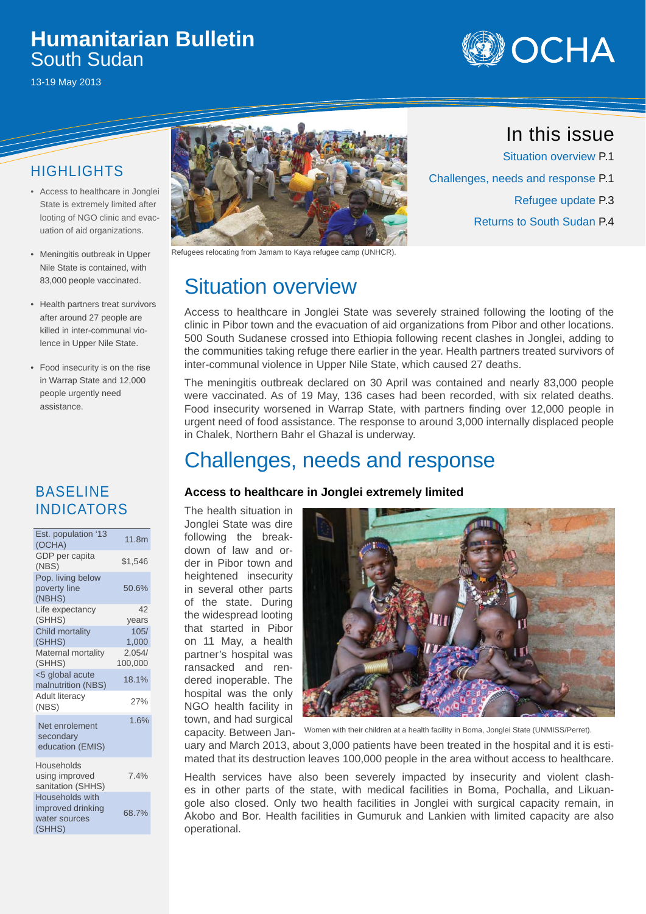## **Humanitarian Bulletin** South Sudan

13-19 May 2013



## HIGHLIGHTS

- Access to healthcare in Jonglei State is extremely limited after looting of NGO clinic and evacuation of aid organizations.
- Meningitis outbreak in Upper Nile State is contained, with 83,000 people vaccinated.
- Health partners treat survivors after around 27 people are killed in inter-communal violence in Upper Nile State.
- Food insecurity is on the rise in Warrap State and 12,000 people urgently need assistance.

### BASELINE INDICATORS

| Est. population '13<br>(OCHA)                     | 11.8m             |
|---------------------------------------------------|-------------------|
| GDP per capita<br>(NBS)                           | \$1,546           |
| Pop. living below<br>poverty line<br>(NBHS)       | 50.6%             |
| Life expectancy<br>(SHHS)                         | 42<br>years       |
| <b>Child mortality</b><br>(SHHS)                  | 105/<br>1,000     |
| Maternal mortality<br>(SHHS)                      | 2,054/<br>100,000 |
| <5 global acute<br>malnutrition (NBS)             | 18.1%             |
| <b>Adult literacy</b><br>(NBS)                    | 27%               |
| Net enrolement<br>secondary<br>education (EMIS)   | 1.6%              |
| Households<br>using improved<br>sanitation (SHHS) | 7.4%              |
| <b>Households</b> with<br>improved drinkina       |                   |

68.7%

water sources (SHHS)



Refugees relocating from Jamam to Kaya refugee camp (UNHCR).

# Situation overview

Access to healthcare in Jonglei State was severely strained following the looting of the clinic in Pibor town and the evacuation of aid organizations from Pibor and other locations. 500 South Sudanese crossed into Ethiopia following recent clashes in Jonglei, adding to the communities taking refuge there earlier in the year. Health partners treated survivors of inter-communal violence in Upper Nile State, which caused 27 deaths.

The meningitis outbreak declared on 30 April was contained and nearly 83,000 people were vaccinated. As of 19 May, 136 cases had been recorded, with six related deaths. Food insecurity worsened in Warrap State, with partners finding over 12,000 people in urgent need of food assistance. The response to around 3,000 internally displaced people in Chalek, Northern Bahr el Ghazal is underway.

# Challenges, needs and response

#### **Access to healthcare in Jonglei extremely limited**

The health situation in Jonglei State was dire following the breakdown of law and order in Pibor town and heightened insecurity in several other parts of the state. During the widespread looting that started in Pibor on 11 May, a health partner's hospital was ransacked and rendered inoperable. The hospital was the only NGO health facility in town, and had surgical



capacity. Between Jan-Women with their children at a health facility in Boma, Jonglei State (UNMISS/Perret).

uary and March 2013, about 3,000 patients have been treated in the hospital and it is estimated that its destruction leaves 100,000 people in the area without access to healthcare.

Health services have also been severely impacted by insecurity and violent clashes in other parts of the state, with medical facilities in Boma, Pochalla, and Likuangole also closed. Only two health facilities in Jonglei with surgical capacity remain, in Akobo and Bor. Health facilities in Gumuruk and Lankien with limited capacity are also operational.

## In this issue

Situation overview P.1 Challenges, needs and response P.1 Refugee update P.3 Returns to South Sudan P.4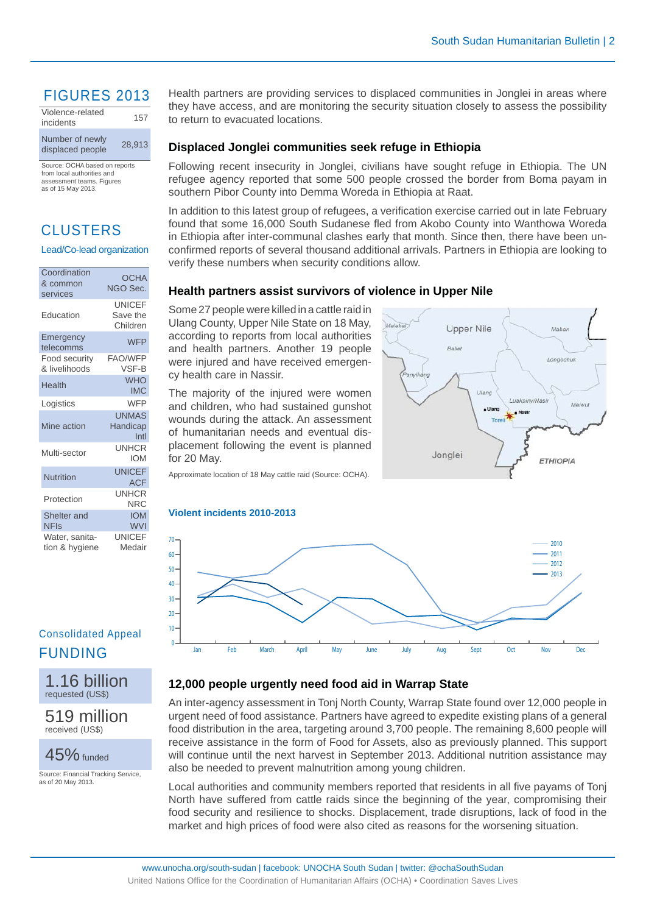## FIGURES 2013

| Violence-related<br>incidents       | 157    |
|-------------------------------------|--------|
| Number of newly<br>displaced people | 28.913 |

Source: OCHA based on reports from local authorities and assessment teams. Figures as of 15 May 2013.

## CLUSTERS

#### Lead/Co-lead organization

| Coordination<br>& common<br>services | <b>OCHA</b><br>NGO Sec.               |
|--------------------------------------|---------------------------------------|
| Education                            | <b>UNICEF</b><br>Save the<br>Children |
| Emergency<br>telecomms               | <b>WFP</b>                            |
| Food security<br>& livelihoods       | <b>FAO/WFP</b><br>VSF-B               |
| Health                               | <b>WHO</b><br><b>IMC</b>              |
| Logistics                            | <b>WFP</b>                            |
| Mine action                          | <b>UNMAS</b><br>Handicap<br>Intl      |
| Multi-sector                         | <b>UNHCR</b><br><b>IOM</b>            |
| Nutrition                            | <b>UNICEF</b><br><b>ACF</b>           |
| Protection                           | <b>UNHCR</b><br><b>NRC</b>            |
| Shelter and<br><b>NFIs</b>           | <b>IOM</b><br><b>WVI</b>              |
| Water, sanita-<br>tion & hygiene     | <b>UNICEF</b><br>Medair               |

### Consolidated Appeal FUNDING



519 million received (US\$)

45% funded

Source: Financial Tracking Service, as of 20 May 2013.

Health partners are providing services to displaced communities in Jonglei in areas where they have access, and are monitoring the security situation closely to assess the possibility to return to evacuated locations.

#### **Displaced Jonglei communities seek refuge in Ethiopia**

Following recent insecurity in Jonglei, civilians have sought refuge in Ethiopia. The UN refugee agency reported that some 500 people crossed the border from Boma payam in southern Pibor County into Demma Woreda in Ethiopia at Raat.

In addition to this latest group of refugees, a verification exercise carried out in late February found that some 16,000 South Sudanese fled from Akobo County into Wanthowa Woreda in Ethiopia after inter-communal clashes early that month. Since then, there have been unconfirmed reports of several thousand additional arrivals. Partners in Ethiopia are looking to verify these numbers when security conditions allow.

#### **Health partners assist survivors of violence in Upper Nile**

Some 27 people were killed in a cattle raid in Ulang County, Upper Nile State on 18 May, according to reports from local authorities and health partners. Another 19 people were injured and have received emergency health care in Nassir.

The majority of the injured were women and children, who had sustained gunshot wounds during the attack. An assessment of humanitarian needs and eventual displacement following the event is planned for 20 May.



Approximate location of 18 May cattle raid (Source: OCHA).

#### **Violent incidents 2010-2013**



### **12,000 people urgently need food aid in Warrap State**

An inter-agency assessment in Tonj North County, Warrap State found over 12,000 people in urgent need of food assistance. Partners have agreed to expedite existing plans of a general food distribution in the area, targeting around 3,700 people. The remaining 8,600 people will receive assistance in the form of Food for Assets, also as previously planned. This support will continue until the next harvest in September 2013. Additional nutrition assistance may also be needed to prevent malnutrition among young children.

Local authorities and community members reported that residents in all five payams of Tonj North have suffered from cattle raids since the beginning of the year, compromising their food security and resilience to shocks. Displacement, trade disruptions, lack of food in the market and high prices of food were also cited as reasons for the worsening situation.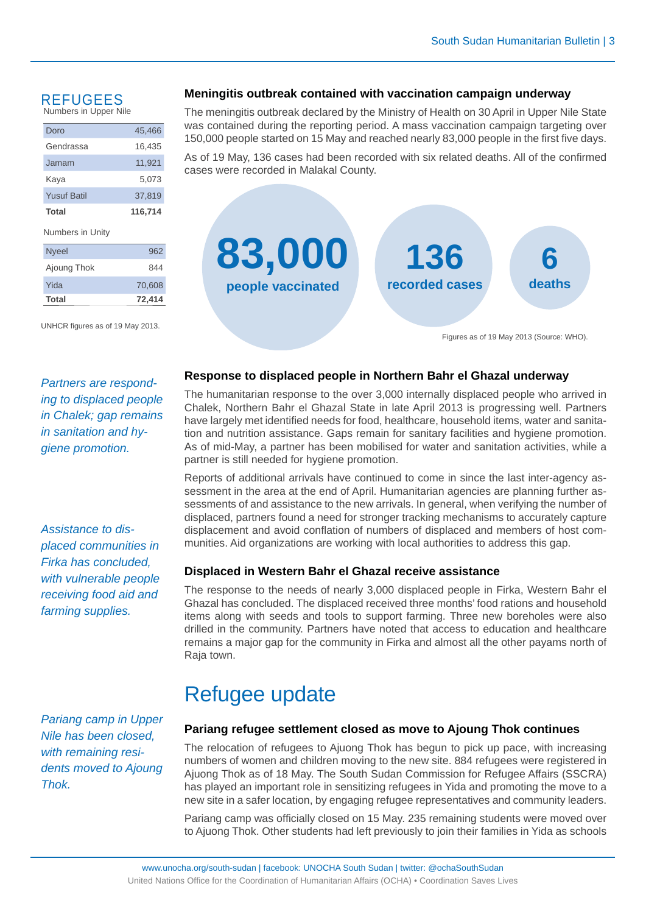#### REFUGEES Numbers in Upper Nile

| Doro               | 45.466  |
|--------------------|---------|
| Gendrassa          | 16,435  |
| Jamam              | 11,921  |
| Kaya               | 5,073   |
| <b>Yusuf Batil</b> | 37,819  |
| Total              | 116,714 |
| Numbers in Unity   |         |
| <b>Nyeel</b>       | 962     |
| Ajoung Thok        | 844     |

UNHCR figures as of 19 May 2013.

Yida 70,608 **Total 72,414**

#### **Meningitis outbreak contained with vaccination campaign underway**

The meningitis outbreak declared by the Ministry of Health on 30 April in Upper Nile State was contained during the reporting period. A mass vaccination campaign targeting over 150,000 people started on 15 May and reached nearly 83,000 people in the first five days.

As of 19 May, 136 cases had been recorded with six related deaths. All of the confirmed cases were recorded in Malakal County.



Figures as of 19 May 2013 (Source: WHO).

*Partners are responding to displaced people in Chalek; gap remains in sanitation and hygiene promotion.*

*Assistance to displaced communities in Firka has concluded, with vulnerable people receiving food aid and farming supplies.* 

*Pariang camp in Upper Nile has been closed, with remaining residents moved to Ajoung Thok.*

#### **Response to displaced people in Northern Bahr el Ghazal underway**

The humanitarian response to the over 3,000 internally displaced people who arrived in Chalek, Northern Bahr el Ghazal State in late April 2013 is progressing well. Partners have largely met identified needs for food, healthcare, household items, water and sanitation and nutrition assistance. Gaps remain for sanitary facilities and hygiene promotion. As of mid-May, a partner has been mobilised for water and sanitation activities, while a partner is still needed for hygiene promotion.

Reports of additional arrivals have continued to come in since the last inter-agency assessment in the area at the end of April. Humanitarian agencies are planning further assessments of and assistance to the new arrivals. In general, when verifying the number of displaced, partners found a need for stronger tracking mechanisms to accurately capture displacement and avoid conflation of numbers of displaced and members of host communities. Aid organizations are working with local authorities to address this gap.

#### **Displaced in Western Bahr el Ghazal receive assistance**

The response to the needs of nearly 3,000 displaced people in Firka, Western Bahr el Ghazal has concluded. The displaced received three months' food rations and household items along with seeds and tools to support farming. Three new boreholes were also drilled in the community. Partners have noted that access to education and healthcare remains a major gap for the community in Firka and almost all the other payams north of Raja town.

# Refugee update

#### **Pariang refugee settlement closed as move to Ajoung Thok continues**

The relocation of refugees to Ajuong Thok has begun to pick up pace, with increasing numbers of women and children moving to the new site. 884 refugees were registered in Ajuong Thok as of 18 May. The South Sudan Commission for Refugee Affairs (SSCRA) has played an important role in sensitizing refugees in Yida and promoting the move to a new site in a safer location, by engaging refugee representatives and community leaders.

Pariang camp was officially closed on 15 May. 235 remaining students were moved over to Ajuong Thok. Other students had left previously to join their families in Yida as schools